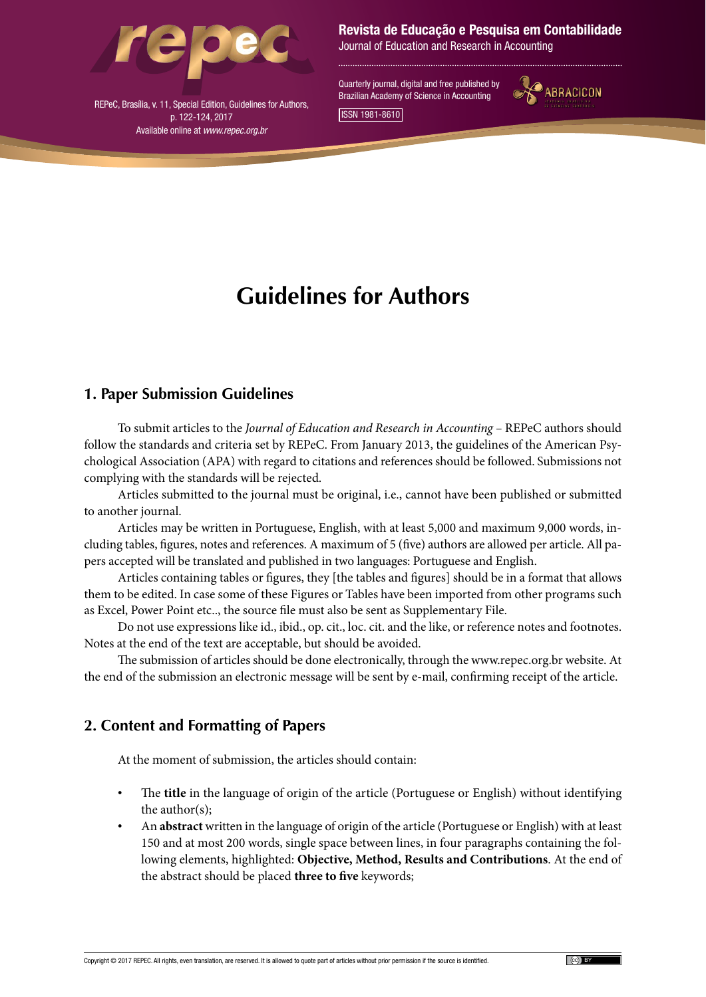

Revista de Educação e Pesquisa em Contabilidade

Journal of Education and Research in Accounting

Quarterly journal, digital and free published by Brazilian Academy of Science in Accounting ISSN 1981-8610



REPeC, Brasília, v. 11, Special Edition, Guidelines for Authors, p. 122-124, 2017 Available online at *www.repec.org.br*

# **Guidelines for Authors**

### **1. Paper Submission Guidelines**

To submit articles to the *Journal of Education and Research in Accounting –* REPeC authors should follow the standards and criteria set by REPeC. From January 2013, the guidelines of the American Psychological Association (APA) with regard to citations and references should be followed. Submissions not complying with the standards will be rejected.

Articles submitted to the journal must be original, i.e., cannot have been published or submitted to another journal.

Articles may be written in Portuguese, English, with at least 5,000 and maximum 9,000 words, including tables, figures, notes and references. A maximum of 5 (five) authors are allowed per article. All papers accepted will be translated and published in two languages: Portuguese and English.

Articles containing tables or figures, they [the tables and figures] should be in a format that allows them to be edited. In case some of these Figures or Tables have been imported from other programs such as Excel, Power Point etc.., the source file must also be sent as Supplementary File.

Do not use expressions like id., ibid., op. cit., loc. cit. and the like, or reference notes and footnotes. Notes at the end of the text are acceptable, but should be avoided.

The submission of articles should be done electronically, through the www.repec.org.br website. At the end of the submission an electronic message will be sent by e-mail, confirming receipt of the article.

## **2. Content and Formatting of Papers**

At the moment of submission, the articles should contain:

- The **title** in the language of origin of the article (Portuguese or English) without identifying the author(s);
- An **abstract** written in the language of origin of the article (Portuguese or English) with at least 150 and at most 200 words, single space between lines, in four paragraphs containing the following elements, highlighted: **Objective, Method, Results and Contributions**. At the end of the abstract should be placed **three to five** keywords;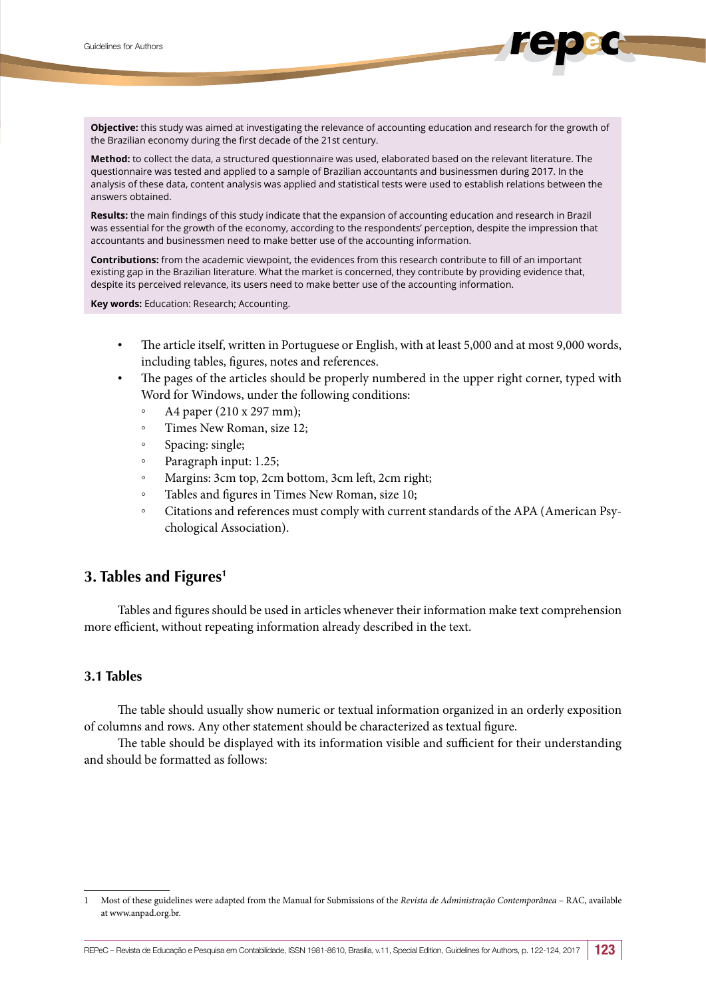**Objective:** this study was aimed at investigating the relevance of accounting education and research for the growth of the Brazilian economy during the first decade of the 21st century.

**Method:** to collect the data, a structured questionnaire was used, elaborated based on the relevant literature. The questionnaire was tested and applied to a sample of Brazilian accountants and businessmen during 2017. In the analysis of these data, content analysis was applied and statistical tests were used to establish relations between the answers obtained.

**Results:** the main findings of this study indicate that the expansion of accounting education and research in Brazil was essential for the growth of the economy, according to the respondents' perception, despite the impression that accountants and businessmen need to make better use of the accounting information.

**Contributions:** from the academic viewpoint, the evidences from this research contribute to fill of an important existing gap in the Brazilian literature. What the market is concerned, they contribute by providing evidence that, despite its perceived relevance, its users need to make better use of the accounting information.

**Key words:** Education: Research; Accounting.

- The article itself, written in Portuguese or English, with at least 5,000 and at most 9,000 words, including tables, figures, notes and references.
- The pages of the articles should be properly numbered in the upper right corner, typed with Word for Windows, under the following conditions:
	- A4 paper (210 x 297 mm);
	- Times New Roman, size 12;
	- Spacing: single;
	- Paragraph input: 1.25;
	- Margins: 3cm top, 2cm bottom, 3cm left, 2cm right;
	- Tables and figures in Times New Roman, size 10;
	- Citations and references must comply with current standards of the APA (American Psychological Association).

#### **3. Tables and Figures1**

Tables and figures should be used in articles whenever their information make text comprehension more efficient, without repeating information already described in the text.

#### **3.1 Tables**

The table should usually show numeric or textual information organized in an orderly exposition of columns and rows. Any other statement should be characterized as textual figure.

The table should be displayed with its information visible and sufficient for their understanding and should be formatted as follows:

<sup>1</sup> Most of these guidelines were adapted from the Manual for Submissions of the *Revista de Administração Contemporânea* – RAC, available at www.anpad.org.br.